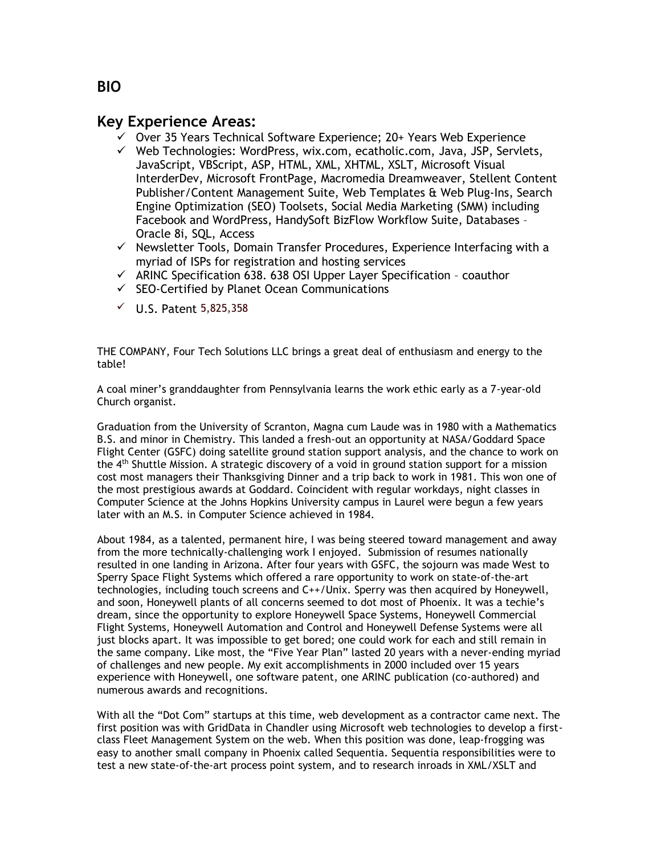## **Key Experience Areas:**

- ✓ Over 35 Years Technical Software Experience; 20+ Years Web Experience
- ✓ Web Technologies: WordPress, wix.com, ecatholic.com, Java, JSP, Servlets, JavaScript, VBScript, ASP, HTML, XML, XHTML, XSLT, Microsoft Visual InterderDev, Microsoft FrontPage, Macromedia Dreamweaver, Stellent Content Publisher/Content Management Suite, Web Templates & Web Plug-Ins, Search Engine Optimization (SEO) Toolsets, Social Media Marketing (SMM) including Facebook and WordPress, HandySoft BizFlow Workflow Suite, Databases – Oracle 8i, SQL, Access
- ✓ Newsletter Tools, Domain Transfer Procedures, Experience Interfacing with a myriad of ISPs for registration and hosting services
- ✓ ARINC Specification 638. 638 OSI Upper Layer Specification coauthor
- $\checkmark$  SEO-Certified by Planet Ocean Communications
- $V$  U.S. Patent 5,825,358

THE COMPANY, Four Tech Solutions LLC brings a great deal of enthusiasm and energy to the table!

A coal miner's granddaughter from Pennsylvania learns the work ethic early as a 7-year-old Church organist.

Graduation from the University of Scranton, Magna cum Laude was in 1980 with a Mathematics B.S. and minor in Chemistry. This landed a fresh-out an opportunity at NASA/Goddard Space Flight Center (GSFC) doing satellite ground station support analysis, and the chance to work on the 4th Shuttle Mission. A strategic discovery of a void in ground station support for a mission cost most managers their Thanksgiving Dinner and a trip back to work in 1981. This won one of the most prestigious awards at Goddard. Coincident with regular workdays, night classes in Computer Science at the Johns Hopkins University campus in Laurel were begun a few years later with an M.S. in Computer Science achieved in 1984.

About 1984, as a talented, permanent hire, I was being steered toward management and away from the more technically-challenging work I enjoyed. Submission of resumes nationally resulted in one landing in Arizona. After four years with GSFC, the sojourn was made West to Sperry Space Flight Systems which offered a rare opportunity to work on state-of-the-art technologies, including touch screens and C++/Unix. Sperry was then acquired by Honeywell, and soon, Honeywell plants of all concerns seemed to dot most of Phoenix. It was a techie's dream, since the opportunity to explore Honeywell Space Systems, Honeywell Commercial Flight Systems, Honeywell Automation and Control and Honeywell Defense Systems were all just blocks apart. It was impossible to get bored; one could work for each and still remain in the same company. Like most, the "Five Year Plan" lasted 20 years with a never-ending myriad of challenges and new people. My exit accomplishments in 2000 included over 15 years experience with Honeywell, one software patent, one ARINC publication (co-authored) and numerous awards and recognitions.

With all the "Dot Com" startups at this time, web development as a contractor came next. The first position was with GridData in Chandler using Microsoft web technologies to develop a firstclass Fleet Management System on the web. When this position was done, leap-frogging was easy to another small company in Phoenix called Sequentia. Sequentia responsibilities were to test a new state-of-the-art process point system, and to research inroads in XML/XSLT and

## **BIO**